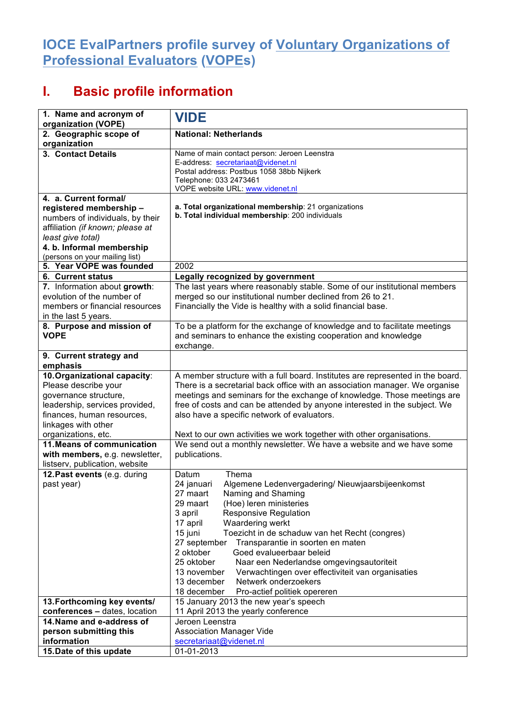## **IOCE EvalPartners profile survey of Voluntary Organizations of Professional Evaluators (VOPEs)**

## **I. Basic profile information**

| 1. Name and acronym of                                                                                                                                                                      | <b>VIDE</b>                                                                                                                                                                                                                                                                                                                                                                                                                                                                                                                                                                                                         |
|---------------------------------------------------------------------------------------------------------------------------------------------------------------------------------------------|---------------------------------------------------------------------------------------------------------------------------------------------------------------------------------------------------------------------------------------------------------------------------------------------------------------------------------------------------------------------------------------------------------------------------------------------------------------------------------------------------------------------------------------------------------------------------------------------------------------------|
| organization (VOPE)<br>2. Geographic scope of                                                                                                                                               | <b>National: Netherlands</b>                                                                                                                                                                                                                                                                                                                                                                                                                                                                                                                                                                                        |
| organization                                                                                                                                                                                |                                                                                                                                                                                                                                                                                                                                                                                                                                                                                                                                                                                                                     |
| 3. Contact Details                                                                                                                                                                          | Name of main contact person: Jeroen Leenstra<br>E-address: secretariaat@videnet.nl<br>Postal address: Postbus 1058 38bb Nijkerk<br>Telephone: 033 2473461<br>VOPE website URL: www.videnet.nl                                                                                                                                                                                                                                                                                                                                                                                                                       |
| 4. a. Current formal/                                                                                                                                                                       |                                                                                                                                                                                                                                                                                                                                                                                                                                                                                                                                                                                                                     |
| registered membership-<br>numbers of individuals, by their<br>affiliation (if known; please at<br>least give total)<br>4. b. Informal membership<br>(persons on your mailing list)          | a. Total organizational membership: 21 organizations<br>b. Total individual membership: 200 individuals                                                                                                                                                                                                                                                                                                                                                                                                                                                                                                             |
| 5. Year VOPE was founded                                                                                                                                                                    | 2002                                                                                                                                                                                                                                                                                                                                                                                                                                                                                                                                                                                                                |
| <b>6. Current status</b>                                                                                                                                                                    | Legally recognized by government                                                                                                                                                                                                                                                                                                                                                                                                                                                                                                                                                                                    |
| 7. Information about growth:<br>evolution of the number of<br>members or financial resources<br>in the last 5 years.                                                                        | The last years where reasonably stable. Some of our institutional members<br>merged so our institutional number declined from 26 to 21.<br>Financially the Vide is healthy with a solid financial base.                                                                                                                                                                                                                                                                                                                                                                                                             |
| 8. Purpose and mission of<br><b>VOPE</b>                                                                                                                                                    | To be a platform for the exchange of knowledge and to facilitate meetings<br>and seminars to enhance the existing cooperation and knowledge<br>exchange.                                                                                                                                                                                                                                                                                                                                                                                                                                                            |
| 9. Current strategy and                                                                                                                                                                     |                                                                                                                                                                                                                                                                                                                                                                                                                                                                                                                                                                                                                     |
| emphasis                                                                                                                                                                                    |                                                                                                                                                                                                                                                                                                                                                                                                                                                                                                                                                                                                                     |
| 10. Organizational capacity:<br>Please describe your<br>governance structure,<br>leadership, services provided,<br>finances, human resources,<br>linkages with other<br>organizations, etc. | A member structure with a full board. Institutes are represented in the board.<br>There is a secretarial back office with an association manager. We organise<br>meetings and seminars for the exchange of knowledge. Those meetings are<br>free of costs and can be attended by anyone interested in the subject. We<br>also have a specific network of evaluators.<br>Next to our own activities we work together with other organisations.                                                                                                                                                                       |
| 11. Means of communication<br>with members, e.g. newsletter,<br>listserv, publication, website                                                                                              | We send out a monthly newsletter. We have a website and we have some<br>publications.                                                                                                                                                                                                                                                                                                                                                                                                                                                                                                                               |
| 12. Past events (e.g. during<br>past year)                                                                                                                                                  | Thema<br>Datum<br>Algemene Ledenvergadering/ Nieuwjaarsbijeenkomst<br>24 januari<br>27 maart<br>Naming and Shaming<br>(Hoe) leren ministeries<br>29 maart<br>3 april<br><b>Responsive Regulation</b><br>Waardering werkt<br>17 april<br>15 juni<br>Toezicht in de schaduw van het Recht (congres)<br>27 september<br>Transparantie in soorten en maten<br>2 oktober<br>Goed evalueerbaar beleid<br>25 oktober<br>Naar een Nederlandse omgevingsautoriteit<br>13 november<br>Verwachtingen over effectiviteit van organisaties<br>13 december<br>Netwerk onderzoekers<br>Pro-actief politiek opereren<br>18 december |
| 13. Forthcoming key events/                                                                                                                                                                 | 15 January 2013 the new year's speech                                                                                                                                                                                                                                                                                                                                                                                                                                                                                                                                                                               |
| conferences - dates, location                                                                                                                                                               | 11 April 2013 the yearly conference                                                                                                                                                                                                                                                                                                                                                                                                                                                                                                                                                                                 |
| 14. Name and e-address of<br>person submitting this                                                                                                                                         | Jeroen Leenstra<br><b>Association Manager Vide</b>                                                                                                                                                                                                                                                                                                                                                                                                                                                                                                                                                                  |
| information                                                                                                                                                                                 | secretariaat@videnet.nl                                                                                                                                                                                                                                                                                                                                                                                                                                                                                                                                                                                             |
| 15. Date of this update                                                                                                                                                                     | 01-01-2013                                                                                                                                                                                                                                                                                                                                                                                                                                                                                                                                                                                                          |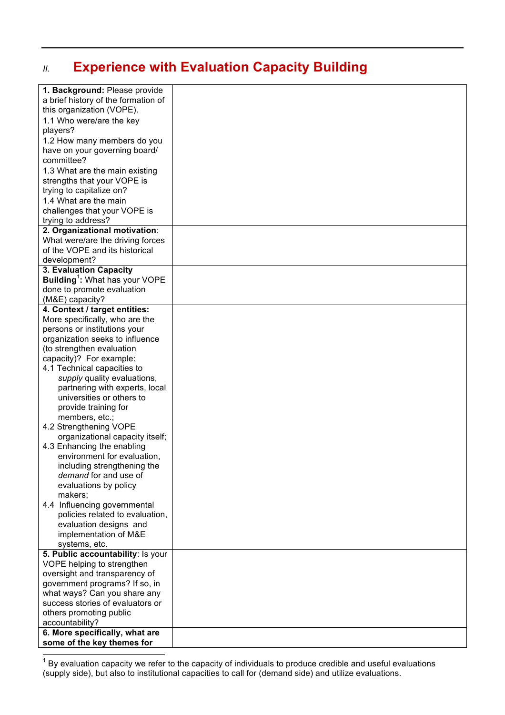## *II.* **Experience with Evaluation Capacity Building**

| 1. Background: Please provide                     |  |
|---------------------------------------------------|--|
| a brief history of the formation of               |  |
| this organization (VOPE).                         |  |
| 1.1 Who were/are the key                          |  |
| players?                                          |  |
| 1.2 How many members do you                       |  |
| have on your governing board/                     |  |
| committee?                                        |  |
| 1.3 What are the main existing                    |  |
| strengths that your VOPE is                       |  |
| trying to capitalize on?                          |  |
| 1.4 What are the main                             |  |
| challenges that your VOPE is                      |  |
| trying to address?                                |  |
| 2. Organizational motivation:                     |  |
| What were/are the driving forces                  |  |
| of the VOPE and its historical                    |  |
| development?                                      |  |
| 3. Evaluation Capacity                            |  |
| <b>Building</b> <sup>1</sup> : What has your VOPE |  |
| done to promote evaluation                        |  |
| (M&E) capacity?                                   |  |
| 4. Context / target entities:                     |  |
| More specifically, who are the                    |  |
| persons or institutions your                      |  |
| organization seeks to influence                   |  |
| (to strengthen evaluation                         |  |
| capacity)? For example:                           |  |
| 4.1 Technical capacities to                       |  |
| supply quality evaluations,                       |  |
| partnering with experts, local                    |  |
| universities or others to                         |  |
| provide training for                              |  |
| members, etc.;                                    |  |
| 4.2 Strengthening VOPE                            |  |
| organizational capacity itself;                   |  |
| 4.3 Enhancing the enabling                        |  |
| environment for evaluation,                       |  |
| including strengthening the                       |  |
| demand for and use of                             |  |
| evaluations by policy                             |  |
| makers;                                           |  |
| 4.4 Influencing governmental                      |  |
| policies related to evaluation,                   |  |
| evaluation designs and                            |  |
| implementation of M&E                             |  |
| systems, etc.                                     |  |
| 5. Public accountability: Is your                 |  |
| VOPE helping to strengthen                        |  |
| oversight and transparency of                     |  |
| government programs? If so, in                    |  |
| what ways? Can you share any                      |  |
| success stories of evaluators or                  |  |
| others promoting public                           |  |
| accountability?                                   |  |
| 6. More specifically, what are                    |  |
| some of the key themes for                        |  |

 $\frac{1}{1}$  By evaluation capacity we refer to the capacity of individuals to produce credible and useful evaluations (supply side), but also to institutional capacities to call for (demand side) and utilize evaluations.